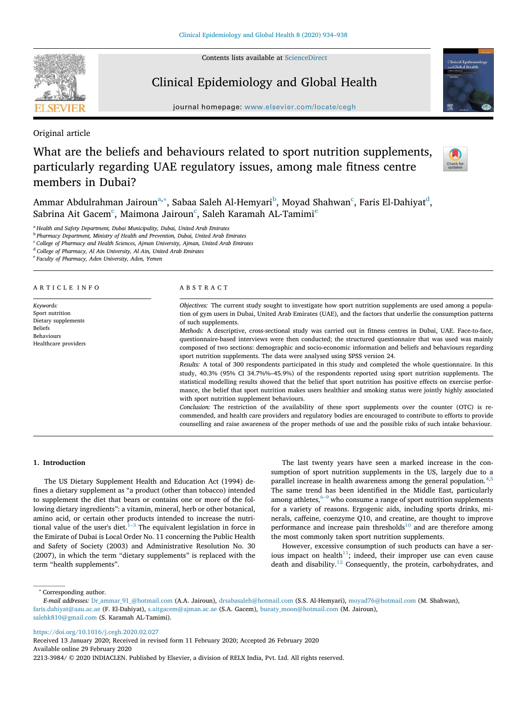Contents lists available at ScienceDirect



## Clinical Epidemiology and Global Health

journal homepage: www.elsevier.com/locate/cegh

Original article

# What are the beliefs and behaviours related to sport nutrition supplements, particularly regarding UAE regulatory issues, among male fitness centre members in Dubai?



Ammar Abdulrahman Jairoun<sup>a,</sup>\*, Sabaa Saleh Al-Hemyari<sup>b</sup>, Moyad Shahwan<sup>c</sup>, Faris El-Dahiyat<sup>d</sup>, Sabrina Ait Gacem $^{\rm c}$ , Maimona Jairoun $^{\rm c}$ , Saleh Karamah AL-Tamimi $^{\rm e}$ 

<sup>a</sup> *Health and Safety Department, Dubai Municipality, Dubai, United Arab Emirates*

b *Pharmacy Department, Ministry of Health and Prevention, Dubai, United Arab Emirates*

<sup>c</sup> *College of Pharmacy and Health Sciences, Ajman University, Ajman, United Arab Emirates*

<sup>d</sup> *College of Pharmacy, Al Ain University, Al Ain, United Arab Emirates*

e *Faculty of Pharmacy, Aden University, Aden, Yemen*

## ARTICLE INFO

*Keywords:* Sport nutrition Dietary supplements Beliefs Behaviours Healthcare providers

## ABSTRACT

*Objectives:* The current study sought to investigate how sport nutrition supplements are used among a population of gym users in Dubai, United Arab Emirates (UAE), and the factors that underlie the consumption patterns of such supplements.

*Methods:* A descriptive, cross-sectional study was carried out in fitness centres in Dubai, UAE. Face-to-face, questionnaire-based interviews were then conducted; the structured questionnaire that was used was mainly composed of two sections: demographic and socio-economic information and beliefs and behaviours regarding sport nutrition supplements. The data were analysed using SPSS version 24.

*Results:* A total of 300 respondents participated in this study and completed the whole questionnaire. In this study, 40.3% (95% CI 34.7%%–45.9%) of the respondents reported using sport nutrition supplements. The statistical modelling results showed that the belief that sport nutrition has positive effects on exercise performance, the belief that sport nutrition makes users healthier and smoking status were jointly highly associated with sport nutrition supplement behaviours.

*Conclusion:* The restriction of the availability of these sport supplements over the counter (OTC) is recommended, and health care providers and regulatory bodies are encouraged to contribute to efforts to provide counselling and raise awareness of the proper methods of use and the possible risks of such intake behaviour.

## 1. Introduction

The US Dietary Supplement Health and Education Act (1994) defines a dietary supplement as "a product (other than tobacco) intended to supplement the diet that bears or contains one or more of the following dietary ingredients": a vitamin, mineral, herb or other botanical, amino acid, or certain other products intended to increase the nutritional value of the user's diet.  $1-3$  The equivalent legislation in force in the Emirate of Dubai is Local Order No. 11 concerning the Public Health and Safety of Society (2003) and Administrative Resolution No. 30 (2007), in which the term "dietary supplements" is replaced with the term "health supplements".

The last twenty years have seen a marked increase in the consumption of sport nutrition supplements in the US, largely due to a parallel increase in health awareness among the general population.<sup>4,5</sup> The same trend has been identified in the Middle East, particularly among athletes, $6-9$  who consume a range of sport nutrition supplements for a variety of reasons. Ergogenic aids, including sports drinks, minerals, caffeine, coenzyme Q10, and creatine, are thought to improve performance and increase pain thresholds $10$  and are therefore among the most commonly taken sport nutrition supplements.

However, excessive consumption of such products can have a serious impact on health<sup>11</sup>; indeed, their improper use can even cause death and disability. $12$  Consequently, the protein, carbohydrates, and

<sup>∗</sup> Corresponding author.

https://doi.org/10.1016/j.cegh.2020.02.027

Received 13 January 2020; Received in revised form 11 February 2020; Accepted 26 February 2020 Available online 29 February 2020

*E-mail addresses:* Dr\_ammar\_91\_@hotmail.com (A.A. Jairoun), drsabasaleh@hotmail.com (S.S. Al-Hemyari), moyad76@hotmail.com (M. Shahwan), faris.dahiyat@aau.ac.ae (F. El-Dahiyat), s.aitgacem@ajman.ac.ae (S.A. Gacem), bueaty\_moon@hotmail.com (M. Jairoun), salehk810@gmail.com (S. Karamah AL-Tamimi).

<sup>2213-3984/ © 2020</sup> INDIACLEN. Published by Elsevier, a division of RELX India, Pvt. Ltd. All rights reserved.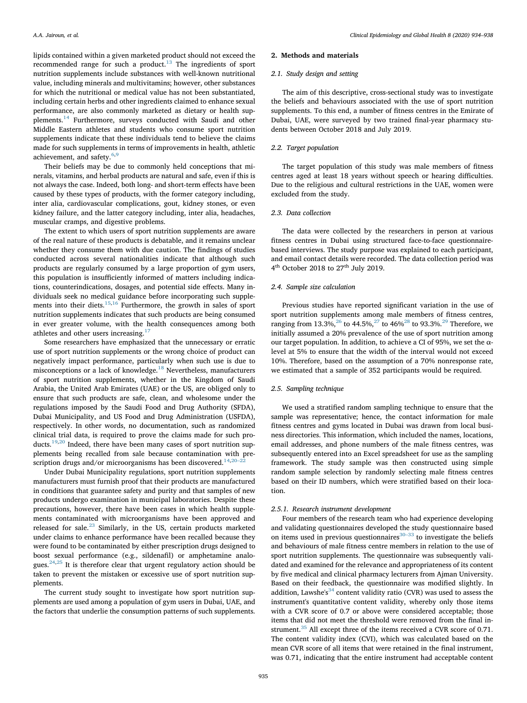lipids contained within a given marketed product should not exceed the recommended range for such a product. $13$  The ingredients of sport nutrition supplements include substances with well-known nutritional value, including minerals and multivitamins; however, other substances for which the nutritional or medical value has not been substantiated, including certain herbs and other ingredients claimed to enhance sexual performance, are also commonly marketed as dietary or health supplements.<sup>14</sup> Furthermore, surveys conducted with Saudi and other Middle Eastern athletes and students who consume sport nutrition supplements indicate that these individuals tend to believe the claims made for such supplements in terms of improvements in health, athletic achievement, and safety.<sup>6,9</sup>

Their beliefs may be due to commonly held conceptions that minerals, vitamins, and herbal products are natural and safe, even if this is not always the case. Indeed, both long- and short-term effects have been caused by these types of products, with the former category including, inter alia, cardiovascular complications, gout, kidney stones, or even kidney failure, and the latter category including, inter alia, headaches, muscular cramps, and digestive problems.

The extent to which users of sport nutrition supplements are aware of the real nature of these products is debatable, and it remains unclear whether they consume them with due caution. The findings of studies conducted across several nationalities indicate that although such products are regularly consumed by a large proportion of gym users, this population is insufficiently informed of matters including indications, counterindications, dosages, and potential side effects. Many individuals seek no medical guidance before incorporating such supplements into their diets.15,16 Furthermore, the growth in sales of sport nutrition supplements indicates that such products are being consumed in ever greater volume, with the health consequences among both athletes and other users increasing.<sup>17</sup>

Some researchers have emphasized that the unnecessary or erratic use of sport nutrition supplements or the wrong choice of product can negatively impact performance, particularly when such use is due to misconceptions or a lack of knowledge.<sup>18</sup> Nevertheless, manufacturers of sport nutrition supplements, whether in the Kingdom of Saudi Arabia, the United Arab Emirates (UAE) or the US, are obliged only to ensure that such products are safe, clean, and wholesome under the regulations imposed by the Saudi Food and Drug Authority (SFDA), Dubai Municipality, and US Food and Drug Administration (USFDA), respectively. In other words, no documentation, such as randomized clinical trial data, is required to prove the claims made for such products.<sup>19,20</sup> Indeed, there have been many cases of sport nutrition supplements being recalled from sale because contamination with prescription drugs and/or microorganisms has been discovered.<sup>14,20-2</sup>

Under Dubai Municipality regulations, sport nutrition supplements manufacturers must furnish proof that their products are manufactured in conditions that guarantee safety and purity and that samples of new products undergo examination in municipal laboratories. Despite these precautions, however, there have been cases in which health supplements contaminated with microorganisms have been approved and released for sale.<sup>23</sup> Similarly, in the US, certain products marketed under claims to enhance performance have been recalled because they were found to be contaminated by either prescription drugs designed to boost sexual performance (e.g., sildenafil) or amphetamine analogues. $24,25$  It is therefore clear that urgent regulatory action should be taken to prevent the mistaken or excessive use of sport nutrition supplements.

The current study sought to investigate how sport nutrition supplements are used among a population of gym users in Dubai, UAE, and the factors that underlie the consumption patterns of such supplements.

#### 2. Methods and materials

#### *2.1. Study design and setting*

The aim of this descriptive, cross-sectional study was to investigate the beliefs and behaviours associated with the use of sport nutrition supplements. To this end, a number of fitness centres in the Emirate of Dubai, UAE, were surveyed by two trained final-year pharmacy students between October 2018 and July 2019.

#### *2.2. Target population*

The target population of this study was male members of fitness centres aged at least 18 years without speech or hearing difficulties. Due to the religious and cultural restrictions in the UAE, women were excluded from the study.

#### *2.3. Data collection*

The data were collected by the researchers in person at various fitness centres in Dubai using structured face-to-face questionnairebased interviews. The study purpose was explained to each participant, and email contact details were recorded. The data collection period was 4<sup>th</sup> October 2018 to 27<sup>th</sup> July 2019.

#### *2.4. Sample size calculation*

Previous studies have reported significant variation in the use of sport nutrition supplements among male members of fitness centres, ranging from 13.3%,<sup>26</sup> to 44.5%,<sup>27</sup> to 46%<sup>28</sup> to 93.3%.<sup>29</sup> Therefore, we initially assumed a 20% prevalence of the use of sport nutrition among our target population. In addition, to achieve a CI of 95%, we set the  $\alpha$ level at 5% to ensure that the width of the interval would not exceed 10%. Therefore, based on the assumption of a 70% nonresponse rate, we estimated that a sample of 352 participants would be required.

## *2.5. Sampling technique*

We used a stratified random sampling technique to ensure that the sample was representative; hence, the contact information for male fitness centres and gyms located in Dubai was drawn from local business directories. This information, which included the names, locations, email addresses, and phone numbers of the male fitness centres, was subsequently entered into an Excel spreadsheet for use as the sampling framework. The study sample was then constructed using simple random sample selection by randomly selecting male fitness centres based on their ID numbers, which were stratified based on their location.

#### *2.5.1. Research instrument development*

Four members of the research team who had experience developing and validating questionnaires developed the study questionnaire based on items used in previous questionnaires $30-33$  to investigate the beliefs and behaviours of male fitness centre members in relation to the use of sport nutrition supplements. The questionnaire was subsequently validated and examined for the relevance and appropriateness of its content by five medical and clinical pharmacy lecturers from Ajman University. Based on their feedback, the questionnaire was modified slightly. In addition, Lawshe's<sup>34</sup> content validity ratio (CVR) was used to assess the instrument's quantitative content validity, whereby only those items with a CVR score of 0.7 or above were considered acceptable; those items that did not meet the threshold were removed from the final instrument.<sup>35</sup> All except three of the items received a CVR score of 0.71. The content validity index (CVI), which was calculated based on the mean CVR score of all items that were retained in the final instrument, was 0.71, indicating that the entire instrument had acceptable content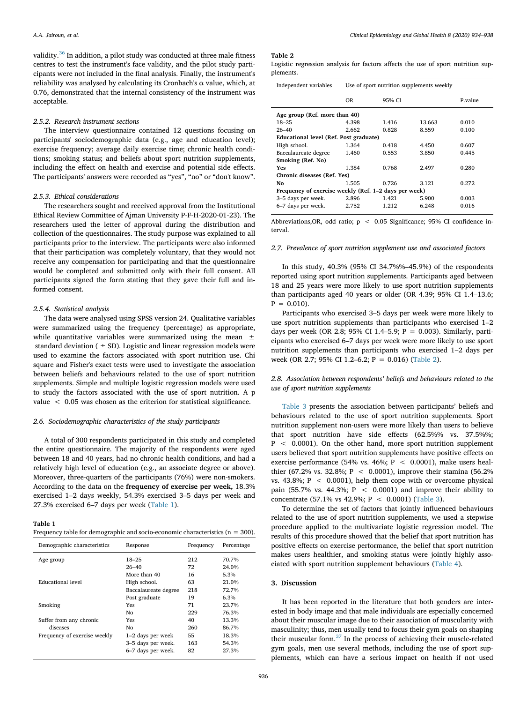validity.<sup>36</sup> In addition, a pilot study was conducted at three male fitness centres to test the instrument's face validity, and the pilot study participants were not included in the final analysis. Finally, the instrument's reliability was analysed by calculating its Cronbach's α value, which, at 0.76, demonstrated that the internal consistency of the instrument was acceptable.

#### *2.5.2. Research instrument sections*

The interview questionnaire contained 12 questions focusing on participants' sociodemographic data (e.g., age and education level); exercise frequency; average daily exercise time; chronic health conditions; smoking status; and beliefs about sport nutrition supplements, including the effect on health and exercise and potential side effects. The participants' answers were recorded as "yes", "no" or "don't know".

## *2.5.3. Ethical considerations*

The researchers sought and received approval from the Institutional Ethical Review Committee of Ajman University P-F-H-2020-01-23). The researchers used the letter of approval during the distribution and collection of the questionnaires. The study purpose was explained to all participants prior to the interview. The participants were also informed that their participation was completely voluntary, that they would not receive any compensation for participating and that the questionnaire would be completed and submitted only with their full consent. All participants signed the form stating that they gave their full and informed consent.

### *2.5.4. Statistical analysis*

The data were analysed using SPSS version 24. Qualitative variables were summarized using the frequency (percentage) as appropriate, while quantitative variables were summarized using the mean  $\pm$ standard deviation  $( \pm SD)$ . Logistic and linear regression models were used to examine the factors associated with sport nutrition use. Chi square and Fisher's exact tests were used to investigate the association between beliefs and behaviours related to the use of sport nutrition supplements. Simple and multiple logistic regression models were used to study the factors associated with the use of sport nutrition. A p value < 0.05 was chosen as the criterion for statistical significance.

#### *2.6. Sociodemographic characteristics of the study participants*

A total of 300 respondents participated in this study and completed the entire questionnaire. The majority of the respondents were aged between 18 and 40 years, had no chronic health conditions, and had a relatively high level of education (e.g., an associate degree or above). Moreover, three-quarters of the participants (76%) were non-smokers. According to the data on the frequency of exercise per week, 18.3% exercised 1–2 days weekly, 54.3% exercised 3–5 days per week and 27.3% exercised 6–7 days per week (Table 1).

#### Table 1

| Frequency table for demographic and socio-economic characteristics ( $n = 300$ ). |  |
|-----------------------------------------------------------------------------------|--|
|-----------------------------------------------------------------------------------|--|

| Demographic characteristics  | Response             | Frequency | Percentage |
|------------------------------|----------------------|-----------|------------|
| Age group                    | $18 - 25$            | 212       | 70.7%      |
|                              | $26 - 40$            | 72        | 24.0%      |
|                              | More than 40         | 16        | 5.3%       |
| Educational level            | High school.         | 63        | 21.0%      |
|                              | Baccalaureate degree | 218       | 72.7%      |
|                              | Post graduate        | 19        | 6.3%       |
| Smoking                      | Yes                  | 71        | 23.7%      |
|                              | No                   | 229       | 76.3%      |
| Suffer from any chronic      | Yes                  | 40        | 13.3%      |
| diseases                     | No                   | 260       | 86.7%      |
| Frequency of exercise weekly | 1–2 days per week    | 55        | 18.3%      |
|                              | 3-5 days per week.   | 163       | 54.3%      |
|                              | 6–7 days per week.   | 82        | 27.3%      |

## Table 2

Logistic regression analysis for factors affects the use of sport nutrition supplements.

| Independent variables                                 | Use of sport nutrition supplements weekly |        |        |         |  |  |  |
|-------------------------------------------------------|-------------------------------------------|--------|--------|---------|--|--|--|
|                                                       | OR                                        | 95% CI |        | P.value |  |  |  |
| Age group (Ref. more than 40)                         |                                           |        |        |         |  |  |  |
| $18 - 25$                                             | 4.398                                     | 1.416  | 13.663 | 0.010   |  |  |  |
| $26 - 40$                                             | 2.662                                     | 0.828  | 8.559  | 0.100   |  |  |  |
|                                                       | Educational level (Ref. Post graduate)    |        |        |         |  |  |  |
| High school.                                          | 1.364                                     | 0.418  | 4.450  | 0.607   |  |  |  |
| Baccalaureate degree                                  | 1.460                                     | 0.553  | 3.850  | 0.445   |  |  |  |
| Smoking (Ref. No)                                     |                                           |        |        |         |  |  |  |
| <b>Yes</b>                                            | 1.384                                     | 0.768  | 2.497  | 0.280   |  |  |  |
| Chronic diseases (Ref. Yes)                           |                                           |        |        |         |  |  |  |
| No                                                    | 1.505                                     | 0.726  | 3.121  | 0.272   |  |  |  |
| Frequency of exercise weekly (Ref. 1–2 days per week) |                                           |        |        |         |  |  |  |
| 3-5 days per week.                                    | 2.896                                     | 1.421  | 5.900  | 0.003   |  |  |  |
| 6-7 days per week.                                    | 2.752                                     | 1.212  | 6.248  | 0.016   |  |  |  |

Abbreviations,OR, odd ratio; p < 0.05 Significance; 95% CI confidence interval.

#### *2.7. Prevalence of sport nutrition supplement use and associated factors*

In this study, 40.3% (95% CI 34.7%%–45.9%) of the respondents reported using sport nutrition supplements. Participants aged between 18 and 25 years were more likely to use sport nutrition supplements than participants aged 40 years or older (OR 4.39; 95% CI 1.4–13.6;  $P = 0.010$ .

Participants who exercised 3–5 days per week were more likely to use sport nutrition supplements than participants who exercised 1–2 days per week (OR 2.8; 95% CI 1.4–5.9;  $P = 0.003$ ). Similarly, participants who exercised 6–7 days per week were more likely to use sport nutrition supplements than participants who exercised 1–2 days per week (OR 2.7; 95% CI 1.2–6.2; P = 0.016) (Table 2).

*2.8. Association between respondents*' *beliefs and behaviours related to the use of sport nutrition supplements*

Table 3 presents the association between participants' beliefs and behaviours related to the use of sport nutrition supplements. Sport nutrition supplement non-users were more likely than users to believe that sport nutrition have side effects (62.5%% vs. 37.5%%; P < 0.0001). On the other hand, more sport nutrition supplement users believed that sport nutrition supplements have positive effects on exercise performance (54% vs. 46%;  $P < 0.0001$ ), make users healthier (67.2% vs. 32.8%; P  $\leq$  0.0001), improve their stamina (56.2%) vs. 43.8%;  $P \leq 0.0001$ , help them cope with or overcome physical pain (55.7% vs. 44.3%;  $P < 0.0001$ ) and improve their ability to concentrate (57.1% vs 42.9%;  $P < 0.0001$ ) (Table 3).

To determine the set of factors that jointly influenced behaviours related to the use of sport nutrition supplements, we used a stepwise procedure applied to the multivariate logistic regression model. The results of this procedure showed that the belief that sport nutrition has positive effects on exercise performance, the belief that sport nutrition makes users healthier, and smoking status were jointly highly associated with sport nutrition supplement behaviours (Table 4).

#### 3. Discussion

It has been reported in the literature that both genders are interested in body image and that male individuals are especially concerned about their muscular image due to their association of muscularity with masculinity; thus, men usually tend to focus their gym goals on shaping their muscular form.<sup>37</sup> In the process of achieving their muscle-related gym goals, men use several methods, including the use of sport supplements, which can have a serious impact on health if not used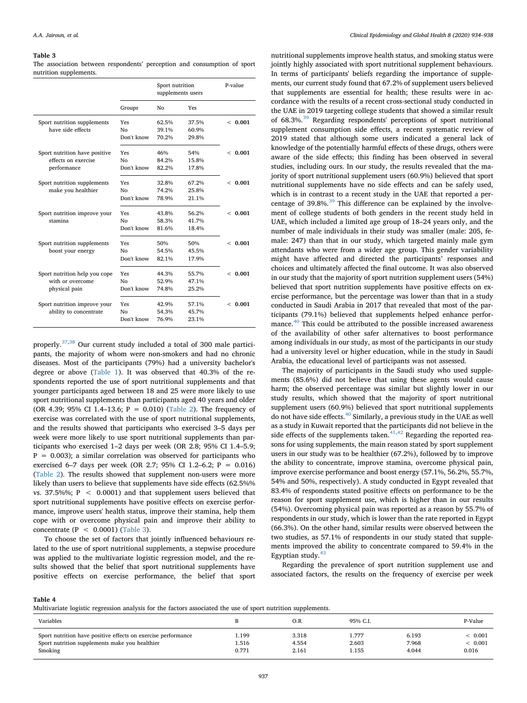#### Table 3

The association between respondents' perception and consumption of sport nutrition supplements.

|                               |                | Sport nutrition<br>supplements users |       | P-value |
|-------------------------------|----------------|--------------------------------------|-------|---------|
|                               | Groups         | No                                   | Yes   |         |
| Sport nutrition supplements   | Yes            | 62.5%                                | 37.5% | < 0.001 |
| have side effects             | No             | 39.1%                                | 60.9% |         |
|                               | Don't know     | 70.2%                                | 29.8% |         |
| Sport nutrition have positive | Yes            | 46%                                  | 54%   | < 0.001 |
| effects on exercise           | N <sub>0</sub> | 84.2%                                | 15.8% |         |
| performance                   | Don't know     | 82.2%                                | 17.8% |         |
| Sport nutrition supplements   | Yes            | 32.8%                                | 67.2% | < 0.001 |
| make you healthier            | Nο             | 74.2%                                | 25.8% |         |
|                               | Don't know     | 78.9%                                | 21.1% |         |
| Sport nutrition improve your  | Yes            | 43.8%                                | 56.2% | < 0.001 |
| stamina                       | N <sub>0</sub> | 58.3%                                | 41.7% |         |
|                               | Don't know     | 81.6%                                | 18.4% |         |
| Sport nutrition supplements   | Yes            | 50%                                  | 50%   | < 0.001 |
| boost your energy             | Nο             | 54.5%                                | 45.5% |         |
|                               | Don't know     | 82.1%                                | 17.9% |         |
| Sport nutrition help you cope | Yes            | 44.3%                                | 55.7% | < 0.001 |
| with or overcome              | Nο             | 52.9%                                | 47.1% |         |
| physical pain                 | Don't know     | 74.8%                                | 25.2% |         |
| Sport nutrition improve your  | Yes            | 42.9%                                | 57.1% | < 0.001 |
| ability to concentrate        | No             | 54.3%                                | 45.7% |         |
|                               | Don't know     | 76.9%                                | 23.1% |         |

properly.37,38 Our current study included a total of 300 male participants, the majority of whom were non-smokers and had no chronic diseases. Most of the participants (79%) had a university bachelor's degree or above (Table 1). It was observed that 40.3% of the respondents reported the use of sport nutritional supplements and that younger participants aged between 18 and 25 were more likely to use sport nutritional supplements than participants aged 40 years and older (OR 4.39; 95% CI 1.4–13.6; P = 0.010) (Table 2). The frequency of exercise was correlated with the use of sport nutritional supplements, and the results showed that participants who exercised 3–5 days per week were more likely to use sport nutritional supplements than participants who exercised 1–2 days per week (OR 2.8; 95% CI 1.4–5.9;  $P = 0.003$ ; a similar correlation was observed for participants who exercised 6–7 days per week (OR 2.7; 95% CI 1.2–6.2; P = 0.016) (Table 2). The results showed that supplement non-users were more likely than users to believe that supplements have side effects (62.5%% vs. 37.5%%;  $P < 0.0001$ ) and that supplement users believed that sport nutritional supplements have positive effects on exercise performance, improve users' health status, improve their stamina, help them cope with or overcome physical pain and improve their ability to concentrate ( $P < 0.0001$ ) (Table 3).

To choose the set of factors that jointly influenced behaviours related to the use of sport nutritional supplements, a stepwise procedure was applied to the multivariate logistic regression model, and the results showed that the belief that sport nutritional supplements have positive effects on exercise performance, the belief that sport

nutritional supplements improve health status, and smoking status were jointly highly associated with sport nutritional supplement behaviours. In terms of participants' beliefs regarding the importance of supplements, our current study found that 67.2% of supplement users believed that supplements are essential for health; these results were in accordance with the results of a recent cross-sectional study conducted in the UAE in 2019 targeting college students that showed a similar result of 68.3%.<sup>39</sup> Regarding respondents' perceptions of sport nutritional supplement consumption side effects, a recent systematic review of 2019 stated that although some users indicated a general lack of knowledge of the potentially harmful effects of these drugs, others were aware of the side effects; this finding has been observed in several studies, including ours. In our study, the results revealed that the majority of sport nutritional supplement users (60.9%) believed that sport nutritional supplements have no side effects and can be safely used, which is in contrast to a recent study in the UAE that reported a percentage of 39.8%.<sup>39</sup> This difference can be explained by the involvement of college students of both genders in the recent study held in UAE, which included a limited age group of 18–24 years only, and the number of male individuals in their study was smaller (male: 205, female: 247) than that in our study, which targeted mainly male gym attendants who were from a wider age group. This gender variability might have affected and directed the participants' responses and choices and ultimately affected the final outcome. It was also observed in our study that the majority of sport nutrition supplement users (54%) believed that sport nutrition supplements have positive effects on exercise performance, but the percentage was lower than that in a study conducted in Saudi Arabia in 2017 that revealed that most of the participants (79.1%) believed that supplements helped enhance performance.<sup>40</sup> This could be attributed to the possible increased awareness of the availability of other safer alternatives to boost performance among individuals in our study, as most of the participants in our study had a university level or higher education, while in the study in Saudi Arabia, the educational level of participants was not assessed.

The majority of participants in the Saudi study who used supplements (85.6%) did not believe that using these agents would cause harm; the observed percentage was similar but slightly lower in our study results, which showed that the majority of sport nutritional supplement users (60.9%) believed that sport nutritional supplements do not have side effects.<sup>40</sup> Similarly, a previous study in the UAE as well as a study in Kuwait reported that the participants did not believe in the side effects of the supplements taken. $41,42$  Regarding the reported reasons for using supplements, the main reason stated by sport supplement users in our study was to be healthier (67.2%), followed by to improve the ability to concentrate, improve stamina, overcome physical pain, improve exercise performance and boost energy (57.1%, 56.2%, 55.7%, 54% and 50%, respectively). A study conducted in Egypt revealed that 83.4% of respondents stated positive effects on performance to be the reason for sport supplement use, which is higher than in our results (54%). Overcoming physical pain was reported as a reason by 55.7% of respondents in our study, which is lower than the rate reported in Egypt (66.3%). On the other hand, similar results were observed between the two studies, as 57.1% of respondents in our study stated that supplements improved the ability to concentrate compared to 59.4% in the Egyptian study. $43$ 

Regarding the prevalence of sport nutrition supplement use and associated factors, the results on the frequency of exercise per week

Table 4

Multivariate logistic regression analysis for the factors associated the use of sport nutrition supplements.

| Variables                                                     |       | O.R   | 95% C.I. |       | P-Value        |
|---------------------------------------------------------------|-------|-------|----------|-------|----------------|
| Sport nutrition have positive effects on exercise performance | . 199 | 3.318 | 1.777    | 6.193 | ${}_{<} 0.001$ |
| Sport nutrition supplements make you healthier                | . 516 | 4.554 | 2.603    | 7.968 | < 0.001        |
| Smoking                                                       | 0.771 | 2.161 | 1.155    | 4.044 | 0.016          |